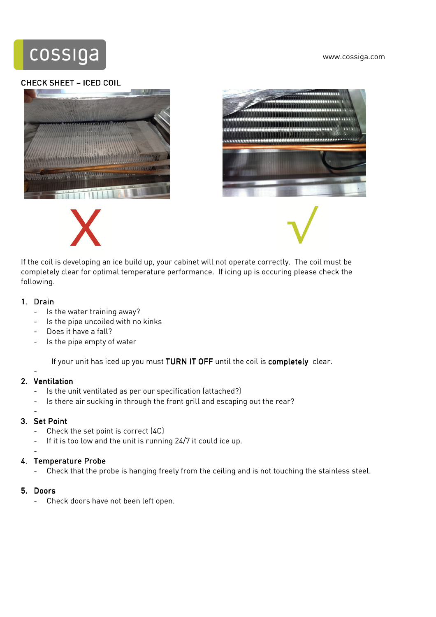www.cossiga.com



#### CHECK SHEET – ICED COIL







If the coil is developing an ice build up, your cabinet will not operate correctly. The coil must be completely clear for optimal temperature performance. If icing up is occuring please check the following.

## 1. Drain

- Is the water training away?
- Is the pipe uncoiled with no kinks
- Does it have a fall?
- Is the pipe empty of water

If your unit has iced up you must TURN IT OFF until the coil is completely clear.

## 2. Ventilation

-

-

- Is the unit ventilated as per our specification (attached?)
- Is there air sucking in through the front grill and escaping out the rear?

## 3. Set Point

- Check the set point is correct (4C)
- If it is too low and the unit is running 24/7 it could ice up.

#### - 4. Temperature Probe

- Check that the probe is hanging freely from the ceiling and is not touching the stainless steel.

## 5. Doors

Check doors have not been left open.